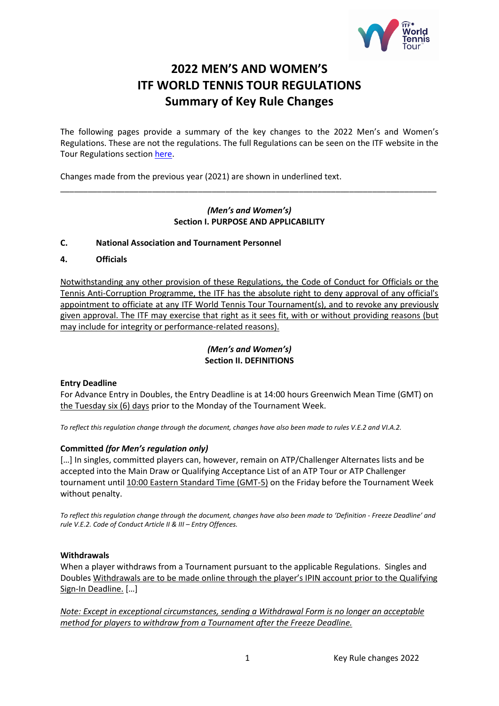

# **2022 MEN'S AND WOMEN'S ITF WORLD TENNIS TOUR REGULATIONS Summary of Key Rule Changes**

The following pages provide a summary of the key changes to the 2022 Men's and Women's Regulations. These are not the regulations. The full Regulations can be seen on the ITF website in the Tour Regulations sectio[n here.](https://www.itftennis.com/en/about-us/governance/rules-and-regulations/?type=tour-regulations)

Changes made from the previous year (2021) are shown in underlined text.

#### *(Men's and Women's)* **Section I. PURPOSE AND APPLICABILITY**

\_\_\_\_\_\_\_\_\_\_\_\_\_\_\_\_\_\_\_\_\_\_\_\_\_\_\_\_\_\_\_\_\_\_\_\_\_\_\_\_\_\_\_\_\_\_\_\_\_\_\_\_\_\_\_\_\_\_\_\_\_\_\_\_\_\_\_\_\_\_\_\_\_\_\_\_\_\_\_\_\_\_

#### **C. National Association and Tournament Personnel**

#### **4. Officials**

Notwithstanding any other provision of these Regulations, the Code of Conduct for Officials or the Tennis Anti-Corruption Programme, the ITF has the absolute right to deny approval of any official's appointment to officiate at any ITF World Tennis Tour Tournament(s), and to revoke any previously given approval. The ITF may exercise that right as it sees fit, with or without providing reasons (but may include for integrity or performance-related reasons).

## *(Men's and Women's)* **Section II. DEFINITIONS**

#### **Entry Deadline**

For Advance Entry in Doubles, the Entry Deadline is at 14:00 hours Greenwich Mean Time (GMT) on the Tuesday six (6) days prior to the Monday of the Tournament Week.

*To reflect this regulation change through the document, changes have also been made to rules V.E.2 and VI.A.2.*

#### **Committed** *(for Men's regulation only)*

[...] In singles, committed players can, however, remain on ATP/Challenger Alternates lists and be accepted into the Main Draw or Qualifying Acceptance List of an ATP Tour or ATP Challenger tournament until 10:00 Eastern Standard Time (GMT-5) on the Friday before the Tournament Week without penalty.

*To reflect this regulation change through the document, changes have also been made to 'Definition - Freeze Deadline' and rule V.E.2. Code of Conduct Article II & III – Entry Offences.*

#### **Withdrawals**

When a player withdraws from a Tournament pursuant to the applicable Regulations. Singles and Doubles Withdrawals are to be made online through the player's IPIN account prior to the Qualifying Sign-In Deadline. […]

*Note: Except in exceptional circumstances, sending a Withdrawal Form is no longer an acceptable method for players to withdraw from a Tournament after the Freeze Deadline.*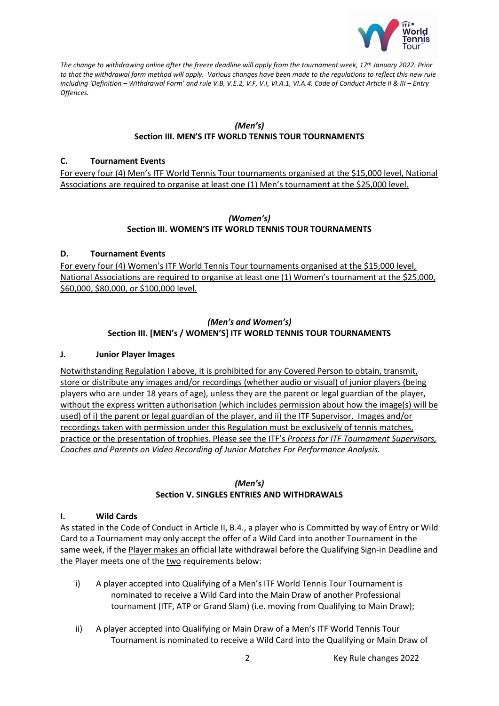

*The change to withdrawing online after the freeze deadline will apply from the tournament week, 17 th January 2022. Prior to that the withdrawal form method will apply. Various changes have been made to the regulations to reflect this new rule including 'Definition – Withdrawal Form' and rule V.B, V.E.2, V.F, V.I, VI.A.1, VI.A.4. Code of Conduct Article II & III – Entry Offences.*

## *(Men's)* **Section III. MEN'S ITF WORLD TENNIS TOUR TOURNAMENTS**

#### **C. Tournament Events**

For every four (4) Men's ITF World Tennis Tour tournaments organised at the \$15,000 level, National Associations are required to organise at least one (1) Men's tournament at the \$25,000 level.

#### *(Women's)* **Section III. WOMEN'S ITF WORLD TENNIS TOUR TOURNAMENTS**

#### **D. Tournament Events**

For every four (4) Women's ITF World Tennis Tour tournaments organised at the \$15,000 level, National Associations are required to organise at least one (1) Women's tournament at the \$25,000, \$60,000, \$80,000, or \$100,000 level.

#### *(Men's and Women's)* **Section III. [MEN's / WOMEN'S] ITF WORLD TENNIS TOUR TOURNAMENTS**

#### **J. Junior Player Images**

Notwithstanding Regulation I above, it is prohibited for any Covered Person to obtain, transmit, store or distribute any images and/or recordings (whether audio or visual) of junior players (being players who are under 18 years of age), unless they are the parent or legal guardian of the player, without the express written authorisation (which includes permission about how the image(s) will be used) of i) the parent or legal guardian of the player, and ii) the ITF Supervisor. Images and/or recordings taken with permission under this Regulation must be exclusively of tennis matches, practice or the presentation of trophies. Please see the ITF's *Process for ITF Tournament Supervisors, Coaches and Parents on Video Recording of Junior Matches For Performance Analysis.*

## *(Men's)* **Section V. SINGLES ENTRIES AND WITHDRAWALS**

## **I. Wild Cards**

As stated in the Code of Conduct in Article II, B.4., a player who is Committed by way of Entry or Wild Card to a Tournament may only accept the offer of a Wild Card into another Tournament in the same week, if the Player makes an official late withdrawal before the Qualifying Sign-in Deadline and the Player meets one of the two requirements below:

- i) A player accepted into Qualifying of a Men's ITF World Tennis Tour Tournament is nominated to receive a Wild Card into the Main Draw of another Professional tournament (ITF, ATP or Grand Slam) (i.e. moving from Qualifying to Main Draw);
- ii) A player accepted into Qualifying or Main Draw of a Men's ITF World Tennis Tour Tournament is nominated to receive a Wild Card into the Qualifying or Main Draw of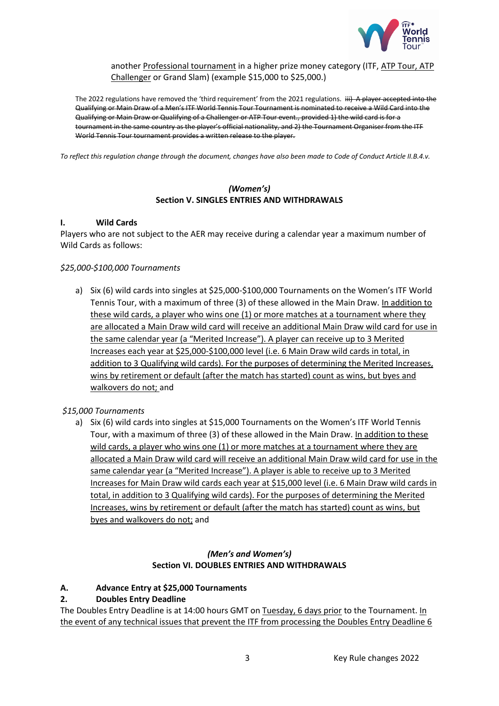

another Professional tournament in a higher prize money category (ITF, ATP Tour, ATP Challenger or Grand Slam) (example \$15,000 to \$25,000.)

The 2022 regulations have removed the 'third requirement' from the 2021 regulations. **iii) A player accepted into the** Qualifying or Main Draw of a Men's ITF World Tennis Tour Tournament is nominated to receive a Wild Card into the Qualifying or Main Draw or Qualifying of a Challenger or ATP Tour event., provided 1) the wild card is for a tournament in the same country as the player's official nationality, and 2) the Tournament Organiser from the ITF World Tennis Tour tournament provides a written release to the player.

*To reflect this regulation change through the document, changes have also been made to Code of Conduct Article II.B.4.v.*

#### *(Women's)* **Section V. SINGLES ENTRIES AND WITHDRAWALS**

#### **I. Wild Cards**

Players who are not subject to the AER may receive during a calendar year a maximum number of Wild Cards as follows:

#### *\$25,000-\$100,000 Tournaments*

a) Six (6) wild cards into singles at \$25,000-\$100,000 Tournaments on the Women's ITF World Tennis Tour, with a maximum of three (3) of these allowed in the Main Draw. In addition to these wild cards, a player who wins one (1) or more matches at a tournament where they are allocated a Main Draw wild card will receive an additional Main Draw wild card for use in the same calendar year (a "Merited Increase"). A player can receive up to 3 Merited Increases each year at \$25,000-\$100,000 level (i.e. 6 Main Draw wild cards in total, in addition to 3 Qualifying wild cards). For the purposes of determining the Merited Increases, wins by retirement or default (after the match has started) count as wins, but byes and walkovers do not; and

#### *\$15,000 Tournaments*

a) Six (6) wild cards into singles at \$15,000 Tournaments on the Women's ITF World Tennis Tour, with a maximum of three (3) of these allowed in the Main Draw. In addition to these wild cards, a player who wins one (1) or more matches at a tournament where they are allocated a Main Draw wild card will receive an additional Main Draw wild card for use in the same calendar year (a "Merited Increase"). A player is able to receive up to 3 Merited Increases for Main Draw wild cards each year at \$15,000 level (i.e. 6 Main Draw wild cards in total, in addition to 3 Qualifying wild cards). For the purposes of determining the Merited Increases, wins by retirement or default (after the match has started) count as wins, but byes and walkovers do not; and

## *(Men's and Women's)* **Section VI. DOUBLES ENTRIES AND WITHDRAWALS**

## **A. Advance Entry at \$25,000 Tournaments**

## **2. Doubles Entry Deadline**

The Doubles Entry Deadline is at 14:00 hours GMT on Tuesday, 6 days prior to the Tournament. In the event of any technical issues that prevent the ITF from processing the Doubles Entry Deadline 6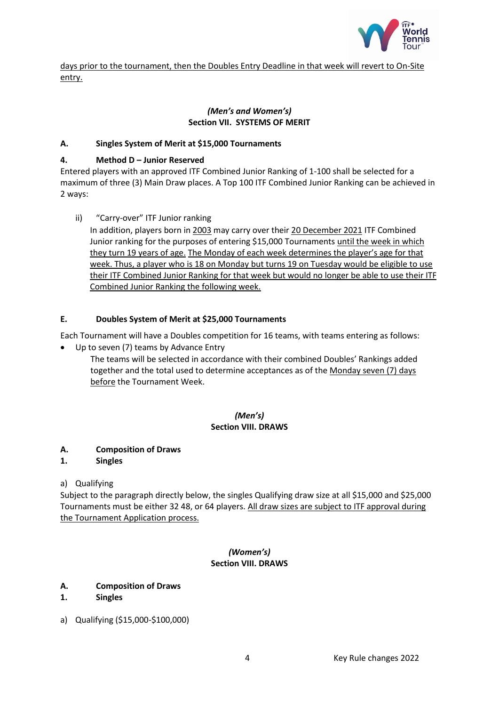

days prior to the tournament, then the Doubles Entry Deadline in that week will revert to On-Site entry.

### *(Men's and Women's)* **Section VII. SYSTEMS OF MERIT**

## **A. Singles System of Merit at \$15,000 Tournaments**

## **4. Method D – Junior Reserved**

Entered players with an approved ITF Combined Junior Ranking of 1-100 shall be selected for a maximum of three (3) Main Draw places. A Top 100 ITF Combined Junior Ranking can be achieved in 2 ways:

ii) "Carry-over" ITF Junior ranking

In addition, players born in 2003 may carry over their 20 December 2021 ITF Combined Junior ranking for the purposes of entering \$15,000 Tournaments until the week in which they turn 19 years of age. The Monday of each week determines the player's age for that week. Thus, a player who is 18 on Monday but turns 19 on Tuesday would be eligible to use their ITF Combined Junior Ranking for that week but would no longer be able to use their ITF Combined Junior Ranking the following week.

## **E. Doubles System of Merit at \$25,000 Tournaments**

Each Tournament will have a Doubles competition for 16 teams, with teams entering as follows:

• Up to seven (7) teams by Advance Entry

The teams will be selected in accordance with their combined Doubles' Rankings added together and the total used to determine acceptances as of the Monday seven (7) days before the Tournament Week.

## *(Men's)* **Section VIII. DRAWS**

## **A. Composition of Draws**

# **1. Singles**

a) Qualifying

Subject to the paragraph directly below, the singles Qualifying draw size at all \$15,000 and \$25,000 Tournaments must be either 32 48, or 64 players. All draw sizes are subject to ITF approval during the Tournament Application process.

## *(Women's)* **Section VIII. DRAWS**

# **A. Composition of Draws**

- **1. Singles**
- a) Qualifying (\$15,000-\$100,000)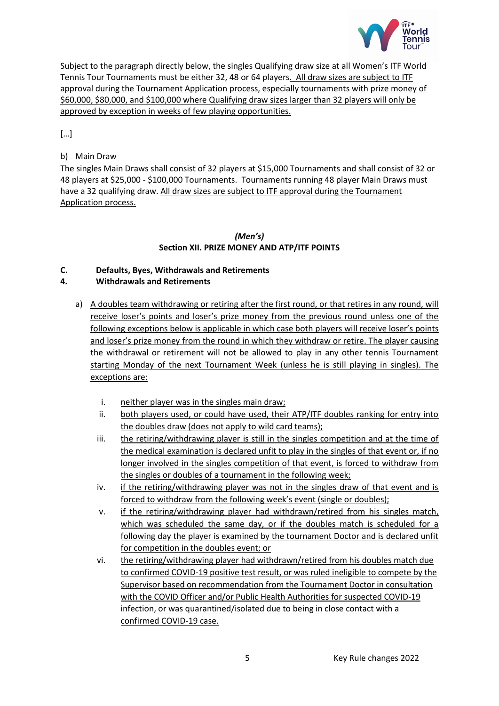

Subject to the paragraph directly below, the singles Qualifying draw size at all Women's ITF World Tennis Tour Tournaments must be either 32, 48 or 64 players. All draw sizes are subject to ITF approval during the Tournament Application process, especially tournaments with prize money of \$60,000, \$80,000, and \$100,000 where Qualifying draw sizes larger than 32 players will only be approved by exception in weeks of few playing opportunities.

[…]

## b) Main Draw

The singles Main Draws shall consist of 32 players at \$15,000 Tournaments and shall consist of 32 or 48 players at \$25,000 - \$100,000 Tournaments. Tournaments running 48 player Main Draws must have a 32 qualifying draw. All draw sizes are subject to ITF approval during the Tournament Application process.

#### *(Men's)* **Section XII. PRIZE MONEY AND ATP/ITF POINTS**

#### **C. Defaults, Byes, Withdrawals and Retirements**

## **4. Withdrawals and Retirements**

- a) A doubles team withdrawing or retiring after the first round, or that retires in any round, will receive loser's points and loser's prize money from the previous round unless one of the following exceptions below is applicable in which case both players will receive loser's points and loser's prize money from the round in which they withdraw or retire. The player causing the withdrawal or retirement will not be allowed to play in any other tennis Tournament starting Monday of the next Tournament Week (unless he is still playing in singles). The exceptions are:
	- i. neither player was in the singles main draw;
	- ii. both players used, or could have used, their ATP/ITF doubles ranking for entry into the doubles draw (does not apply to wild card teams);
	- iii. the retiring/withdrawing player is still in the singles competition and at the time of the medical examination is declared unfit to play in the singles of that event or, if no longer involved in the singles competition of that event, is forced to withdraw from the singles or doubles of a tournament in the following week;
	- iv. if the retiring/withdrawing player was not in the singles draw of that event and is forced to withdraw from the following week's event (single or doubles);
	- v. if the retiring/withdrawing player had withdrawn/retired from his singles match, which was scheduled the same day, or if the doubles match is scheduled for a following day the player is examined by the tournament Doctor and is declared unfit for competition in the doubles event; or
	- vi. the retiring/withdrawing player had withdrawn/retired from his doubles match due to confirmed COVID-19 positive test result, or was ruled ineligible to compete by the Supervisor based on recommendation from the Tournament Doctor in consultation with the COVID Officer and/or Public Health Authorities for suspected COVID-19 infection, or was quarantined/isolated due to being in close contact with a confirmed COVID-19 case.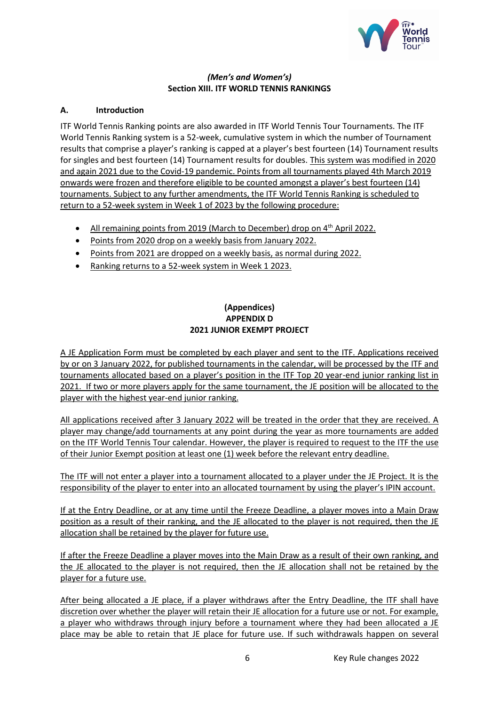

## *(Men's and Women's)* **Section XIII. ITF WORLD TENNIS RANKINGS**

## **A. Introduction**

ITF World Tennis Ranking points are also awarded in ITF World Tennis Tour Tournaments. The ITF World Tennis Ranking system is a 52-week, cumulative system in which the number of Tournament results that comprise a player's ranking is capped at a player's best fourteen (14) Tournament results for singles and best fourteen (14) Tournament results for doubles. This system was modified in 2020 and again 2021 due to the Covid-19 pandemic. Points from all tournaments played 4th March 2019 onwards were frozen and therefore eligible to be counted amongst a player's best fourteen (14) tournaments. Subject to any further amendments, the ITF World Tennis Ranking is scheduled to return to a 52-week system in Week 1 of 2023 by the following procedure:

- All remaining points from 2019 (March to December) drop on 4<sup>th</sup> April 2022.
- Points from 2020 drop on a weekly basis from January 2022.
- Points from 2021 are dropped on a weekly basis, as normal during 2022.
- Ranking returns to a 52-week system in Week 1 2023.

#### **(Appendices) APPENDIX D 2021 JUNIOR EXEMPT PROJECT**

A JE Application Form must be completed by each player and sent to the ITF. Applications received by or on 3 January 2022, for published tournaments in the calendar, will be processed by the ITF and tournaments allocated based on a player's position in the ITF Top 20 year-end junior ranking list in 2021. If two or more players apply for the same tournament, the JE position will be allocated to the player with the highest year-end junior ranking.

All applications received after 3 January 2022 will be treated in the order that they are received. A player may change/add tournaments at any point during the year as more tournaments are added on the ITF World Tennis Tour calendar. However, the player is required to request to the ITF the use of their Junior Exempt position at least one (1) week before the relevant entry deadline.

The ITF will not enter a player into a tournament allocated to a player under the JE Project. It is the responsibility of the player to enter into an allocated tournament by using the player's IPIN account.

If at the Entry Deadline, or at any time until the Freeze Deadline, a player moves into a Main Draw position as a result of their ranking, and the JE allocated to the player is not required, then the JE allocation shall be retained by the player for future use.

If after the Freeze Deadline a player moves into the Main Draw as a result of their own ranking, and the JE allocated to the player is not required, then the JE allocation shall not be retained by the player for a future use.

After being allocated a JE place, if a player withdraws after the Entry Deadline, the ITF shall have discretion over whether the player will retain their JE allocation for a future use or not. For example, a player who withdraws through injury before a tournament where they had been allocated a JE place may be able to retain that JE place for future use. If such withdrawals happen on several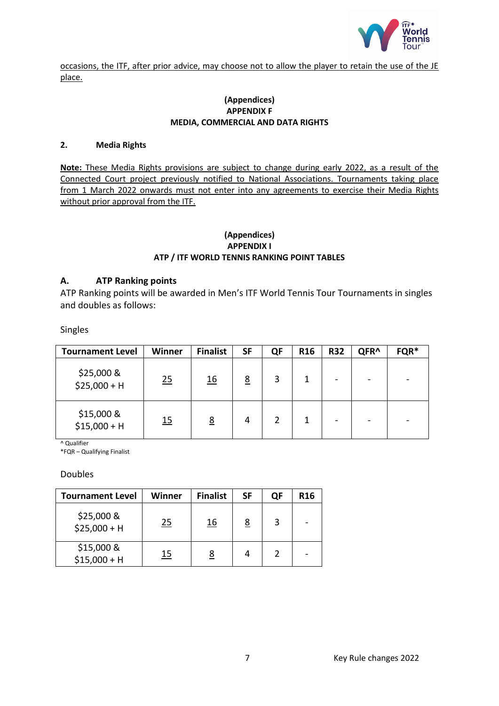

occasions, the ITF, after prior advice, may choose not to allow the player to retain the use of the JE place.

#### **(Appendices) APPENDIX F MEDIA, COMMERCIAL AND DATA RIGHTS**

## **2. Media Rights**

**Note:** These Media Rights provisions are subject to change during early 2022, as a result of the Connected Court project previously notified to National Associations. Tournaments taking place from 1 March 2022 onwards must not enter into any agreements to exercise their Media Rights without prior approval from the ITF.

#### **(Appendices) APPENDIX I ATP / ITF WORLD TENNIS RANKING POINT TABLES**

#### **A. ATP Ranking points**

ATP Ranking points will be awarded in Men's ITF World Tennis Tour Tournaments in singles and doubles as follows:

Singles

| <b>Tournament Level</b>     | Winner     | <b>Finalist</b> | <b>SF</b>       | QF | <b>R16</b> | <b>R32</b>                   | QFR <sup>^</sup>         | FQR* |
|-----------------------------|------------|-----------------|-----------------|----|------------|------------------------------|--------------------------|------|
| \$25,000 &<br>$$25,000 + H$ | 25         | <u>16</u>       | $\underline{8}$ | 3  |            | $\qquad \qquad \blacksquare$ | $\overline{\phantom{a}}$ |      |
| \$15,000 &<br>$$15,000 + H$ | <u> 15</u> | 8               | 4               | 2  |            |                              | $\overline{\phantom{0}}$ |      |

^ Qualifier

\*FQR – Qualifying Finalist

Doubles

| <b>Tournament Level</b>     | Winner | <b>Finalist</b> | <b>SF</b> | QF | <b>R16</b> |
|-----------------------------|--------|-----------------|-----------|----|------------|
| \$25,000 &<br>$$25,000 + H$ | 25     | <u> 16</u>      | <u>8</u>  | 3  |            |
| \$15,000 &<br>$$15,000 + H$ | 15     | <u>8</u>        |           |    |            |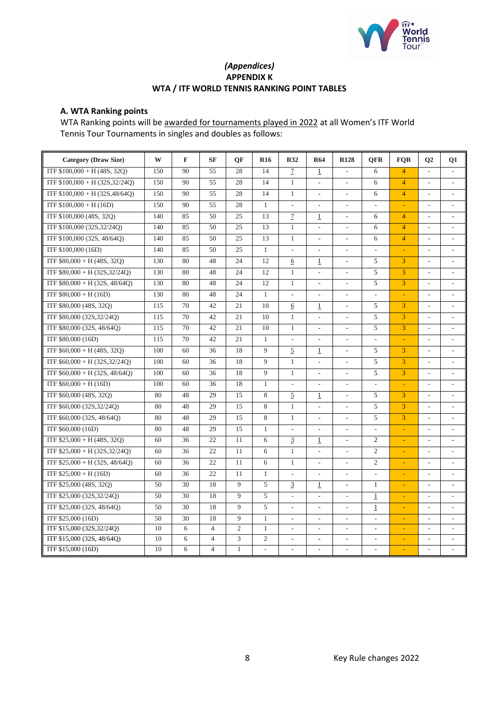

## *(Appendices)* **APPENDIX K WTA / ITF WORLD TENNIS RANKING POINT TABLES**

## **A. WTA Ranking points**

WTA Ranking points will be awarded for tournaments played in 2022 at all Women's ITF World Tennis Tour Tournaments in singles and doubles as follows:

| Category (Draw Size)            | W   | $\mathbf{F}$ | <b>SF</b>      | <b>OF</b>      | <b>R16</b>               | <b>R32</b>               | <b>R64</b>               | <b>R128</b>              | <b>OFR</b>               | <b>FOR</b>     | Q <sub>2</sub>           | Q1                       |
|---------------------------------|-----|--------------|----------------|----------------|--------------------------|--------------------------|--------------------------|--------------------------|--------------------------|----------------|--------------------------|--------------------------|
| ITF $$100,000 + H(48S, 32O)$    | 150 | 90           | 55             | 28             | 14                       | $\tau$                   | 1                        |                          | 6                        | $\overline{4}$ |                          |                          |
| ITF $$100,000 + H (32S,32/24O)$ | 150 | 90           | 55             | 28             | 14                       | $\mathbf{1}$             | ÷.                       |                          | 6                        | $\overline{4}$ | ÷.                       |                          |
| ITF $$100.000 + H(32S.48/64O)$  | 150 | 90           | 55             | 28             | 14                       | $\mathbf{1}$             |                          |                          | 6                        | $\overline{4}$ |                          |                          |
| ITF $$100,000 + H(16D)$         | 150 | 90           | 55             | 28             | $\mathbf{1}$             | $\sim$                   | $\overline{a}$           |                          | L.                       |                | L.                       |                          |
| ITF \$100,000 (48S, 32O)        | 140 | 85           | 50             | 25             | 13                       | $\mathcal{I}$            | 1                        | $\overline{\phantom{a}}$ | 6                        | $\overline{4}$ | $\sim$                   | $\tilde{\phantom{a}}$    |
| ITF \$100,000 (32S,32/24O)      | 140 | 85           | 50             | 25             | 13                       | $\mathbf{1}$             | $\overline{\phantom{a}}$ | $\overline{\phantom{a}}$ | 6                        | $\overline{4}$ | $\overline{\phantom{a}}$ | $\sim$                   |
| ITF \$100,000 (32S, 48/64O)     | 140 | 85           | 50             | 25             | 13                       | $\mathbf{1}$             | $\overline{\phantom{a}}$ | $\sim$                   | 6                        | $\overline{4}$ | $\sim$                   | $\overline{\phantom{a}}$ |
| ITF \$100,000 (16D)             | 140 | 85           | 50             | 25             | $\mathbf{1}$             | $\sim$                   |                          |                          | L.                       |                |                          |                          |
| ITF $$80,000 + H(48S, 32O)$     | 130 | 80           | 48             | 24             | 12                       | 6                        | $\mathbf 1$              | $\overline{a}$           | 5                        | 3              | ÷,                       |                          |
| ITF $$80,000 + H (32S,32/24O)$  | 130 | 80           | 48             | 24             | 12                       | $\mathbf{1}$             | $\mathcal{L}$            | $\sim$                   | 5                        | $\overline{3}$ | $\overline{a}$           | $\overline{\phantom{a}}$ |
| ITF $$80,000 + H (32S, 48/64O)$ | 130 | 80           | 48             | 24             | 12                       | $\mathbf{1}$             | $\mathbb{L}$             | $\overline{\phantom{a}}$ | 5                        | $\overline{3}$ | $\overline{\phantom{a}}$ | $\overline{\phantom{a}}$ |
| ITF $$80,000 + H (16D)$         | 130 | 80           | 48             | 24             | $\mathbf{1}$             | $\bar{\mathcal{L}}$      | $\overline{\phantom{a}}$ | $\overline{\phantom{a}}$ | $\overline{\phantom{a}}$ | L.             | $\overline{\phantom{a}}$ | $\sim$                   |
| ITF \$80,000 (48S, 32O)         | 115 | 70           | 42             | 21             | 10                       | $6 \overline{6}$         | $\mathbf{1}$             | $\overline{\phantom{a}}$ | 5                        | 3              | $\sim$                   |                          |
| ITF \$80,000 (32S,32/24Q)       | 115 | 70           | 42             | 21             | 10                       | $\mathbf{1}$             | $\overline{\phantom{a}}$ |                          | 5                        | $\overline{3}$ | $\overline{\phantom{a}}$ |                          |
| ITF \$80,000 (32S, 48/64O)      | 115 | 70           | 42             | 21             | 10                       | 1                        | $\mathcal{L}$            | L.                       | 5                        | 3              | $\sim$                   | $\overline{a}$           |
| ITF \$80,000 (16D)              | 115 | 70           | 42             | 21             | $\mathbf{1}$             | $\mathbf{r}$             | $\overline{a}$           | $\overline{\phantom{a}}$ | $\overline{a}$           |                | $\overline{a}$           |                          |
| ITF $$60,000 + H(48S, 32O)$     | 100 | 60           | 36             | 18             | 9                        | 5                        | $\mathbf{1}$             |                          | 5                        | 3              | $\overline{\phantom{a}}$ |                          |
| ITF $$60,000 + H (32S,32/24O)$  | 100 | 60           | 36             | 18             | 9                        | $\mathbf{1}$             | $\overline{\phantom{a}}$ |                          | 5                        | $\overline{3}$ |                          |                          |
| ITF $$60,000 + H (32S, 48/64Q)$ | 100 | 60           | 36             | 18             | 9                        | $\mathbf{1}$             |                          |                          | 5                        | 3              |                          |                          |
| ITF $$60,000 + H (16D)$         | 100 | 60           | 36             | 18             | $\mathbf{1}$             |                          |                          |                          |                          |                |                          |                          |
| ITF \$60,000 (48S, 32O)         | 80  | 48           | 29             | 15             | 8                        | $\overline{5}$           | 1                        |                          | 5                        | $\overline{3}$ | ÷.                       | ÷                        |
| ITF \$60,000 (32S,32/24O)       | 80  | 48           | 29             | 15             | 8                        | $\mathbf{1}$             | $\overline{a}$           |                          | 5                        | $\overline{3}$ | ÷,                       |                          |
| ITF \$60,000 (32S, 48/64O)      | 80  | 48           | 29             | 15             | 8                        | $\mathbf{1}$             | $\mathbf{r}$             |                          | 5                        | $\overline{3}$ | ÷,                       |                          |
| ITF \$60,000 (16D)              | 80  | 48           | 29             | 15             | $\mathbf{1}$             | $\sim$                   | $\sim$                   |                          | $\overline{a}$           |                | $\overline{\phantom{a}}$ | $\overline{\phantom{a}}$ |
| ITF $$25,000 + H(48S, 32O)$     | 60  | 36           | 22             | 11             | 6                        | $\overline{3}$           | $\mathbf{1}$             | $\overline{a}$           | $\overline{2}$           |                | L.                       | $\overline{a}$           |
| ITF $$25,000 + H (32S,32/24O)$  | 60  | 36           | 22             | 11             | 6                        | $\mathbf{1}$             | $\overline{\phantom{a}}$ | $\overline{\phantom{a}}$ | $\overline{2}$           | ÷,             | $\overline{\phantom{a}}$ | $\sim$                   |
| ITF $$25,000 + H (32S, 48/64O)$ | 60  | 36           | 22             | 11             | 6                        | $\mathbf{1}$             | $\overline{\phantom{a}}$ | $\overline{\phantom{a}}$ | $\overline{2}$           | Ξ              | ÷,                       |                          |
| ITF $$25,000 + H(16D)$          | 60  | 36           | 22             | 11             | $\mathbf{1}$             | $\overline{\phantom{a}}$ | ÷                        |                          | ÷                        |                |                          |                          |
| ITF \$25,000 (48S, 32Q)         | 50  | 30           | 18             | $\mathbf Q$    | 5                        | $\overline{3}$           | $\mathbf{1}$             |                          | $\mathbf{1}$             | ÷              | ÷,                       |                          |
| ITF \$25,000 (32S,32/24Q)       | 50  | 30           | 18             | $\mathbf{Q}$   | 5                        | $\overline{\phantom{a}}$ | $\mathcal{L}$            | $\overline{\phantom{a}}$ | $\mathbf{1}$             | L.             | $\overline{\phantom{a}}$ | $\sim$                   |
| ITF \$25,000 (32S, 48/64O)      | 50  | 30           | 18             | $\mathbf{Q}$   | 5                        | $\sim$                   | $\mathcal{L}$            | $\overline{a}$           | $\mathbf{1}$             | ÷              | $\sim$                   | ÷.                       |
| ITF \$25,000 (16D)              | 50  | 30           | 18             | 9              | $\mathbf{1}$             | ÷.                       | $\sim$                   | $\overline{a}$           | $\overline{\phantom{a}}$ |                | $\overline{a}$           | ٠                        |
| ITF \$15,000 (32S,32/24Q)       | 10  | 6            | $\overline{4}$ | $\mathfrak{2}$ | $\mathbf{1}$             | $\overline{\phantom{a}}$ | $\overline{\phantom{a}}$ | ٠                        | $\overline{\phantom{a}}$ |                | ٠                        |                          |
| ITF \$15,000 (32S, 48/64O)      | 10  | 6            | $\overline{4}$ | 3              | $\overline{2}$           | $\overline{\phantom{a}}$ | $\blacksquare$           | $\overline{\phantom{a}}$ | $\overline{a}$           |                | $\overline{\phantom{a}}$ |                          |
| ITF \$15,000 (16D)              | 10  | 6            | $\overline{4}$ | 1              | $\overline{\phantom{a}}$ | ٠                        | $\sim$                   | $\sim$                   | $\sim$                   |                | $\sim$                   |                          |